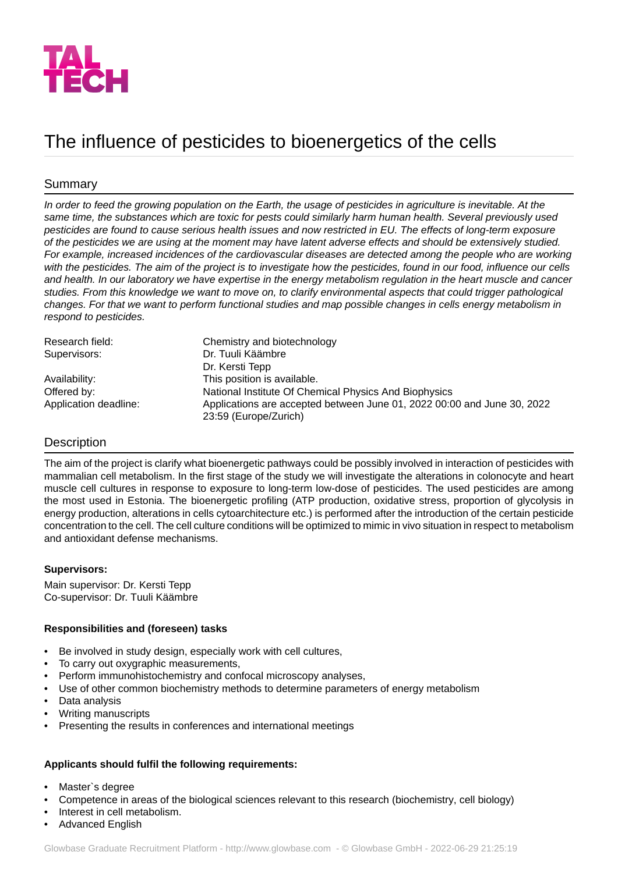

# The influence of pesticides to bioenergetics of the cells

# Summary

*In order to feed the growing population on the Earth, the usage of pesticides in agriculture is inevitable. At the same time, the substances which are toxic for pests could similarly harm human health. Several previously used pesticides are found to cause serious health issues and now restricted in EU. The effects of long-term exposure of the pesticides we are using at the moment may have latent adverse effects and should be extensively studied. For example, increased incidences of the cardiovascular diseases are detected among the people who are working with the pesticides. The aim of the project is to investigate how the pesticides, found in our food, influence our cells and health. In our laboratory we have expertise in the energy metabolism regulation in the heart muscle and cancer studies. From this knowledge we want to move on, to clarify environmental aspects that could trigger pathological changes. For that we want to perform functional studies and map possible changes in cells energy metabolism in respond to pesticides.*

| Research field:       | Chemistry and biotechnology                                             |
|-----------------------|-------------------------------------------------------------------------|
| Supervisors:          | Dr. Tuuli Käämbre                                                       |
|                       | Dr. Kersti Tepp                                                         |
| Availability:         | This position is available.                                             |
| Offered by:           | National Institute Of Chemical Physics And Biophysics                   |
| Application deadline: | Applications are accepted between June 01, 2022 00:00 and June 30, 2022 |
|                       | 23:59 (Europe/Zurich)                                                   |

# **Description**

The aim of the project is clarify what bioenergetic pathways could be possibly involved in interaction of pesticides with mammalian cell metabolism. In the first stage of the study we will investigate the alterations in colonocyte and heart muscle cell cultures in response to exposure to long-term low-dose of pesticides. The used pesticides are among the most used in Estonia. The bioenergetic profiling (ATP production, oxidative stress, proportion of glycolysis in energy production, alterations in cells cytoarchitecture etc.) is performed after the introduction of the certain pesticide concentration to the cell. The cell culture conditions will be optimized to mimic in vivo situation in respect to metabolism and antioxidant defense mechanisms.

## **Supervisors:**

Main supervisor: Dr. Kersti Tepp Co-supervisor: Dr. Tuuli Käämbre

## **Responsibilities and (foreseen) tasks**

- Be involved in study design, especially work with cell cultures,
- To carry out oxygraphic measurements,
- Perform immunohistochemistry and confocal microscopy analyses,
- Use of other common biochemistry methods to determine parameters of energy metabolism
- Data analysis
- Writing manuscripts
- Presenting the results in conferences and international meetings

## **Applicants should fulfil the following requirements:**

- Master`s degree
- Competence in areas of the biological sciences relevant to this research (biochemistry, cell biology)
- Interest in cell metabolism.
- Advanced English

Glowbase Graduate Recruitment Platform -<http://www.glowbase.com> - © Glowbase GmbH - 2022-06-29 21:25:19